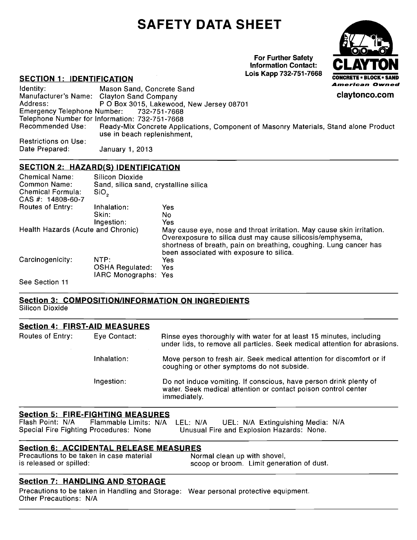# **SAFETY DATA SHEET**



### **SECTION 2: HAZARD(S) IDENTIFICATION**

|                                                                                                                      |                                                          | <b>SAFETY DATA SHEET</b>                                 |                                                                                                                                                   |                                |
|----------------------------------------------------------------------------------------------------------------------|----------------------------------------------------------|----------------------------------------------------------|---------------------------------------------------------------------------------------------------------------------------------------------------|--------------------------------|
|                                                                                                                      |                                                          |                                                          | <b>For Further Safety</b><br><b>Information Contact:</b>                                                                                          | <b>CLAYTON</b>                 |
| <b>SECTION 1: IDENTIFICATION</b>                                                                                     |                                                          |                                                          | Lois Kapp 732-751-7668                                                                                                                            | <b>CONCRETE - BLOCK - SAND</b> |
| Identity:                                                                                                            | Mason Sand, Concrete Sand                                |                                                          |                                                                                                                                                   | <b>American Owned</b>          |
| Manufacturer's Name: Clayton Sand Company<br>Address:                                                                |                                                          | P O Box 3015, Lakewood, New Jersey 08701                 |                                                                                                                                                   | claytonco.com                  |
| <b>Emergency Telephone Number:</b><br>Telephone Number for Information: 732-751-7668                                 |                                                          | 732-751-7668                                             |                                                                                                                                                   |                                |
| <b>Recommended Use:</b>                                                                                              | use in beach replenishment,                              |                                                          | Ready-Mix Concrete Applications, Component of Masonry Materials, Stand alone Product                                                              |                                |
| <b>Restrictions on Use:</b><br>Date Prepared:                                                                        |                                                          |                                                          |                                                                                                                                                   |                                |
|                                                                                                                      | January 1, 2013                                          |                                                          |                                                                                                                                                   |                                |
| <b>SECTION 2: HAZARD(S) IDENTIFICATION</b>                                                                           |                                                          |                                                          |                                                                                                                                                   |                                |
| <b>Chemical Name:</b><br>Common Name:                                                                                | Silicon Dioxide<br>Sand, silica sand, crystalline silica |                                                          |                                                                                                                                                   |                                |
| <b>Chemical Formula:</b><br>CAS #: 14808-60-7                                                                        | SiO <sub>2</sub>                                         |                                                          |                                                                                                                                                   |                                |
| Routes of Entry:                                                                                                     | Inhalation:                                              | Yes                                                      |                                                                                                                                                   |                                |
|                                                                                                                      | Skin:<br>Ingestion:                                      | <b>No</b><br>Yes                                         |                                                                                                                                                   |                                |
| Health Hazards (Acute and Chronic)                                                                                   |                                                          |                                                          | May cause eye, nose and throat irritation. May cause skin irritation.<br>Overexposure to silica dust may cause silicosis/emphysema,               |                                |
|                                                                                                                      |                                                          | been associated with exposure to silica.                 | shortness of breath, pain on breathing, coughing. Lung cancer has                                                                                 |                                |
| Carcinogenicity:                                                                                                     | NTP:                                                     | Yes                                                      |                                                                                                                                                   |                                |
|                                                                                                                      | <b>OSHA Regulated:</b><br>IARC Monographs: Yes           | Yes                                                      |                                                                                                                                                   |                                |
| See Section 11                                                                                                       |                                                          |                                                          |                                                                                                                                                   |                                |
|                                                                                                                      |                                                          | <b>Section 3: COMPOSITION/INFORMATION ON INGREDIENTS</b> |                                                                                                                                                   |                                |
| <b>Silicon Dioxide</b>                                                                                               |                                                          |                                                          |                                                                                                                                                   |                                |
| <b>Section 4: FIRST-AID MEASURES</b>                                                                                 |                                                          |                                                          |                                                                                                                                                   |                                |
| Routes of Entry:                                                                                                     | Eye Contact:                                             |                                                          | Rinse eyes thoroughly with water for at least 15 minutes, including<br>under lids, to remove all particles. Seek medical attention for abrasions. |                                |
|                                                                                                                      | Inhalation:                                              |                                                          | Move person to fresh air. Seek medical attention for discomfort or if<br>coughing or other symptoms do not subside.                               |                                |
|                                                                                                                      | Ingestion:                                               | immediately.                                             | Do not induce vomiting. If conscious, have person drink plenty of<br>water. Seek medical attention or contact poison control center               |                                |
| <b>Section 5: FIRE-FIGHTING MEASURES</b>                                                                             |                                                          |                                                          |                                                                                                                                                   |                                |
| Flash Point: N/A<br>Special Fire Fighting Procedures: None                                                           | Flammable Limits: N/A LEL: N/A                           |                                                          | UEL: N/A Extinguishing Media: N/A<br>Unusual Fire and Explosion Hazards: None.                                                                    |                                |
| <b>Section 6: ACCIDENTAL RELEASE MEASURES</b><br>Precautions to be taken in case material<br>is released or spilled: |                                                          |                                                          | Normal clean up with shovel,<br>scoop or broom. Limit generation of dust.                                                                         |                                |
| <b>Section 7: HANDLING AND STORAGE</b>                                                                               |                                                          |                                                          | Precautions to be taken in Handling and Storage: Wear personal protective equipment.                                                              |                                |
| Other Precautions: N/A                                                                                               |                                                          |                                                          |                                                                                                                                                   |                                |

|                         | <b>Section 4: FIRST-AID MEASURES</b> |                                                                                                                                                     |  |
|-------------------------|--------------------------------------|-----------------------------------------------------------------------------------------------------------------------------------------------------|--|
| <b>Routes of Entry:</b> | Eye Contact:                         | Rinse eyes thoroughly with water for at least 15 minutes, including<br>under lids, to remove all particles. Seek medical attention for abrasions.   |  |
|                         | Inhalation:                          | Move person to fresh air. Seek medical attention for discomfort or if<br>coughing or other symptoms do not subside.                                 |  |
|                         | Ingestion:                           | Do not induce vomiting. If conscious, have person drink plenty of<br>water. Seek medical attention or contact poison control center<br>immediately. |  |

## **Section 5: FIRE-FIGHTING MEASURES**<br>
Flash Point: N/A Flammable Limits: N/A

### **Section 7: HANDLING AND STORAGE**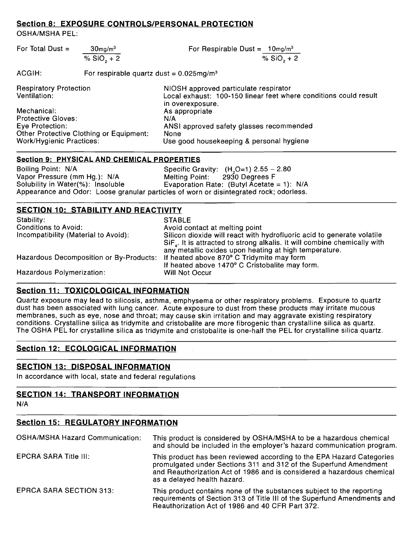| For Total Dust = | $30$ mg/m $3$ | For Respirable Dust = $10 \text{mg/m}^3$ |
|------------------|---------------|------------------------------------------|
|                  | % $SiO, +2$   | % $SiO, +2$                              |

Section 8: EXPOSURE CONTROLS/PERSONAL PROTECTION<br>
CSHA/MSHA PEL:<br>
For Total Dust =  $\frac{30 \text{mg/m}^3}{\% \text{ SiO}_2 + 2}$ <br>
For Respirable Dust =  $\frac{10 \text{mg/m}^3}{\% \text{ SiO}_2 + 2}$ <br>
ACGIH: For respirable quartz dust = 0.025mg/m<sup>3</sup><br>
Resp Respiratory Protection **NIOSH** approved particulate respirator<br>Ventilation: **Nation**: 1.00-150 linear feet when Local exhaust: 100-150 linear feet where conditions could result in overexposure. Mechanical: <br>
Protective Gloves: Channel Management Management Management Management Management Management Management Manag<br>
Management Management Management Management Management Management Management Management Managemen ANSI approved safety glasses recommended<br>None Other Protective Clothing or Equipment:<br>Work/Hvgienic Practices: Section **9:** EXPOSURE CONTROLS/PERSONAL PROTECTION<br>
CSHAMSHA PEL:<br>
For Total Dust =  $\frac{30m_0/m^4}{\% 500_* + 2}$ <br>
For Respirable Qust =  $\frac{10m_0/m^3}{\% 500_* + 2}$ <br>
ACGIH:<br>
For respirable quartz dust = 0.025mg/m<sup>3</sup><br>
Respirator Use good housekeeping & personal hygiene

| Section 8: EXPOSURE CONTROLS/PERSONAL PROTECTION                                        |                                                         |                                                                                                                                                                                                                                                                                                                                                                                                                                                                                                                                                                                     |  |
|-----------------------------------------------------------------------------------------|---------------------------------------------------------|-------------------------------------------------------------------------------------------------------------------------------------------------------------------------------------------------------------------------------------------------------------------------------------------------------------------------------------------------------------------------------------------------------------------------------------------------------------------------------------------------------------------------------------------------------------------------------------|--|
| <b>OSHA/MSHA PEL:</b>                                                                   |                                                         |                                                                                                                                                                                                                                                                                                                                                                                                                                                                                                                                                                                     |  |
| For Total Dust =                                                                        | $30$ mg/m $3$                                           | For Respirable Dust = $10 \text{mg/m}^3$                                                                                                                                                                                                                                                                                                                                                                                                                                                                                                                                            |  |
|                                                                                         | % $SiO2 + 2$                                            | % $SiO_2 + 2$                                                                                                                                                                                                                                                                                                                                                                                                                                                                                                                                                                       |  |
| ACGIH:                                                                                  | For respirable quartz dust = $0.025 \text{mg/m}^3$      |                                                                                                                                                                                                                                                                                                                                                                                                                                                                                                                                                                                     |  |
| <b>Respiratory Protection</b><br>Ventilation:                                           |                                                         | NIOSH approved particulate respirator<br>Local exhaust: 100-150 linear feet where conditions could result<br>in overexposure.                                                                                                                                                                                                                                                                                                                                                                                                                                                       |  |
| Mechanical:                                                                             |                                                         | As appropriate                                                                                                                                                                                                                                                                                                                                                                                                                                                                                                                                                                      |  |
| <b>Protective Gloves:</b><br>Eye Protection:                                            |                                                         | N/A<br>ANSI approved safety glasses recommended                                                                                                                                                                                                                                                                                                                                                                                                                                                                                                                                     |  |
| <b>Work/Hygienic Practices:</b>                                                         | <b>Other Protective Clothing or Equipment:</b>          | <b>None</b><br>Use good housekeeping & personal hygiene                                                                                                                                                                                                                                                                                                                                                                                                                                                                                                                             |  |
|                                                                                         |                                                         |                                                                                                                                                                                                                                                                                                                                                                                                                                                                                                                                                                                     |  |
|                                                                                         | <b>Section 9: PHYSICAL AND CHEMICAL PROPERTIES</b>      |                                                                                                                                                                                                                                                                                                                                                                                                                                                                                                                                                                                     |  |
| Boiling Point: N/A<br>Vapor Pressure (mm Hg.): N/A<br>Solubility in Water(%): Insoluble |                                                         | Specific Gravity: $(H2O=1)$ 2.55 - 2.80<br>2930 Degrees F<br>Melting Point:<br>Evaporation Rate: (Butyl Acetate = $1$ ): N/A<br>Appearance and Odor: Loose granular particles of worn or disintegrated rock; odorless.                                                                                                                                                                                                                                                                                                                                                              |  |
|                                                                                         | <b>SECTION 10: STABILITY AND REACTIVITY</b>             |                                                                                                                                                                                                                                                                                                                                                                                                                                                                                                                                                                                     |  |
| Stability:                                                                              |                                                         | <b>STABLE</b>                                                                                                                                                                                                                                                                                                                                                                                                                                                                                                                                                                       |  |
| <b>Conditions to Avoid:</b><br>Incompatibility (Material to Avoid):                     |                                                         | Avoid contact at melting point<br>Silicon dioxide will react with hydrofluoric acid to generate volatile<br>SiF <sub>1</sub> . It is attracted to strong alkalis. It will combine chemically with                                                                                                                                                                                                                                                                                                                                                                                   |  |
| Hazardous Decomposition or By-Products:<br>Hazardous Polymerization:                    |                                                         | any metallic oxides upon heating at high temperature.<br>If heated above 870° C Tridymite may form<br>If heated above 1470° C Cristobalite may form.<br>Will Not Occur                                                                                                                                                                                                                                                                                                                                                                                                              |  |
|                                                                                         |                                                         |                                                                                                                                                                                                                                                                                                                                                                                                                                                                                                                                                                                     |  |
|                                                                                         | <b>Section 11: TOXICOLOGICAL INFORMATION</b>            | Quartz exposure may lead to silicosis, asthma, emphysema or other respiratory problems. Exposure to quartz<br>dust has been associated with lung cancer. Acute exposure to dust from these products may irritate mucous<br>membranes, such as eye, nose and throat; may cause skin irritation and may aggravate existing respiratory<br>conditions. Crystalline silica as tridymite and cristobalite are more fibrogenic than crystalline silica as quartz.<br>The OSHA PEL for crystalline silica as tridymite and cristobalite is one-half the PEL for crystalline silica quartz. |  |
|                                                                                         | <b>Section 12: ECOLOGICAL INFORMATION</b>               |                                                                                                                                                                                                                                                                                                                                                                                                                                                                                                                                                                                     |  |
|                                                                                         | <b>SECTION 13: DISPOSAL INFORMATION</b>                 |                                                                                                                                                                                                                                                                                                                                                                                                                                                                                                                                                                                     |  |
|                                                                                         | In accordance with local, state and federal regulations |                                                                                                                                                                                                                                                                                                                                                                                                                                                                                                                                                                                     |  |
| N/A                                                                                     | <b>SECTION 14: TRANSPORT INFORMATION</b>                |                                                                                                                                                                                                                                                                                                                                                                                                                                                                                                                                                                                     |  |
|                                                                                         | <b>Section 15: REGULATORY INFORMATION</b>               |                                                                                                                                                                                                                                                                                                                                                                                                                                                                                                                                                                                     |  |
| <b>OSHA/MSHA Hazard Communication:</b>                                                  |                                                         | This product is considered by OSHA/MSHA to be a hazardous chemical<br>and should be included in the employer's hazard communication program.                                                                                                                                                                                                                                                                                                                                                                                                                                        |  |
|                                                                                         |                                                         |                                                                                                                                                                                                                                                                                                                                                                                                                                                                                                                                                                                     |  |

### **Section 12: ECOLOGICAL INFORMATION**

### **SECTION 14: TRANSPORT INFORMATION**

### **Section 15: REGULATORY INFORMATION**

| <b>OSHA/MSHA Hazard Communication:</b> | This product is considered by OSHA/MSHA to be a hazardous chemical<br>and should be included in the employer's hazard communication program.                                                                                                        |
|----------------------------------------|-----------------------------------------------------------------------------------------------------------------------------------------------------------------------------------------------------------------------------------------------------|
| <b>EPCRA SARA Title III:</b>           | This product has been reviewed according to the EPA Hazard Categories<br>promulgated under Sections 311 and 312 of the Superfund Amendment<br>and Reauthorization Act of 1986 and is considered a hazardous chemical<br>as a delayed health hazard. |
| <b>EPRCA SARA SECTION 313:</b>         | This product contains none of the substances subject to the reporting<br>requirements of Section 313 of Title III of the Superfund Amendments and<br>Reauthorization Act of 1986 and 40 CFR Part 372.                                               |